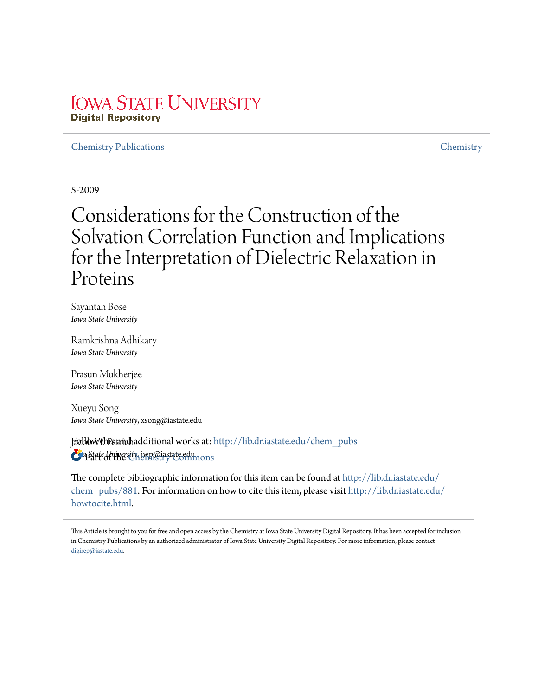## **IOWA STATE UNIVERSITY Digital Repository**

## Chemistry Publications Chemistry

5-2009

# Considerations for the Construction of the Solvation Correlation Function and Implications for the Interpretation of Dielectric Relaxation in Proteins

Sayantan Bose *Iowa State University*

Ramkrishna Adhikary *Iowa State University*

Prasun Mukherjee *Iowa State University*

Xueyu Song *Iowa State University*, xsong@iastate.edu

**FællbWWhPstandhadditional works at: http://lib.dr.iastate.edu/chem\_pubs** *Iowa State University*, jwp@iastate.edu Part of the Chemistry Commons

The complete bibliographic information for this item can be found at http://lib.dr.iastate.edu/ chem\_pubs/881. For information on how to cite this item, please visit http://lib.dr.iastate.edu/ howtocite.html.

This Article is brought to you for free and open access by the Chemistry at Iowa State University Digital Repository. It has been accepted for inclusion in Chemistry Publications by an authorized administrator of Iowa State University Digital Repository. For more information, please contact digirep@iastate.edu.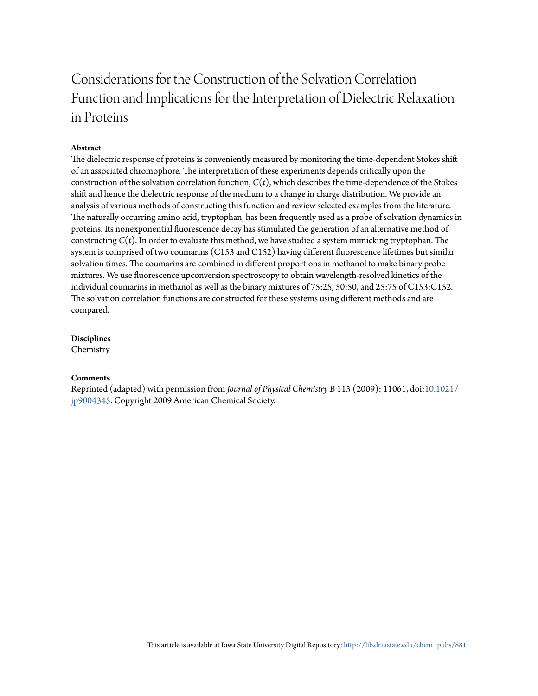## Considerations for the Construction of the Solvation Correlation Function and Implications for the Interpretation of Dielectric Relaxation in Proteins

### **Abstract**

The dielectric response of proteins is conveniently measured by monitoring the time-dependent Stokes shift of an associated chromophore. The interpretation of these experiments depends critically upon the construction of the solvation correlation function, *C*(*t*), which describes the time-dependence of the Stokes shift and hence the dielectric response of the medium to a change in charge distribution. We provide an analysis of various methods of constructing this function and review selected examples from the literature. The naturally occurring amino acid, tryptophan, has been frequently used as a probe of solvation dynamics in proteins. Its nonexponential fluorescence decay has stimulated the generation of an alternative method of constructing  $C(t)$ . In order to evaluate this method, we have studied a system mimicking tryptophan. The system is comprised of two coumarins (C153 and C152) having different fluorescence lifetimes but similar solvation times. The coumarins are combined in different proportions in methanol to make binary probe mixtures. We use fluorescence upconversion spectroscopy to obtain wavelength-resolved kinetics of the individual coumarins in methanol as well as the binary mixtures of 75:25, 50:50, and 25:75 of C153:C152. The solvation correlation functions are constructed for these systems using different methods and are compared.

**Disciplines**

Chemistry

### **Comments**

Reprinted (adapted) with permission from *Journal of Physical Chemistry B* 113 (2009): 11061, doi:10.1021/ jp9004345. Copyright 2009 American Chemical Society.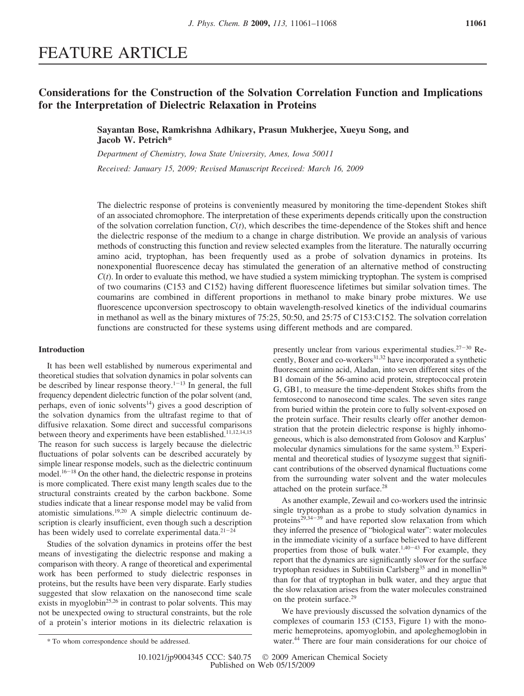## FEATURE ARTICLE

## **Considerations for the Construction of the Solvation Correlation Function and Implications for the Interpretation of Dielectric Relaxation in Proteins**

**Sayantan Bose, Ramkrishna Adhikary, Prasun Mukherjee, Xueyu Song, and Jacob W. Petrich\***

*Department of Chemistry, Iowa State University, Ames, Iowa 50011 Recei*V*ed: January 15, 2009; Re*V*ised Manuscript Recei*V*ed: March 16, 2009*

The dielectric response of proteins is conveniently measured by monitoring the time-dependent Stokes shift of an associated chromophore. The interpretation of these experiments depends critically upon the construction of the solvation correlation function,  $C(t)$ , which describes the time-dependence of the Stokes shift and hence the dielectric response of the medium to a change in charge distribution. We provide an analysis of various methods of constructing this function and review selected examples from the literature. The naturally occurring amino acid, tryptophan, has been frequently used as a probe of solvation dynamics in proteins. Its nonexponential fluorescence decay has stimulated the generation of an alternative method of constructing *C*(*t*). In order to evaluate this method, we have studied a system mimicking tryptophan. The system is comprised of two coumarins (C153 and C152) having different fluorescence lifetimes but similar solvation times. The coumarins are combined in different proportions in methanol to make binary probe mixtures. We use fluorescence upconversion spectroscopy to obtain wavelength-resolved kinetics of the individual coumarins in methanol as well as the binary mixtures of 75:25, 50:50, and 25:75 of C153:C152. The solvation correlation functions are constructed for these systems using different methods and are compared.

### **Introduction**

It has been well established by numerous experimental and theoretical studies that solvation dynamics in polar solvents can be described by linear response theory. $1-13$  In general, the full frequency dependent dielectric function of the polar solvent (and, perhaps, even of ionic solvents<sup>14</sup>) gives a good description of the solvation dynamics from the ultrafast regime to that of diffusive relaxation. Some direct and successful comparisons between theory and experiments have been established.<sup>11,12,14,15</sup> The reason for such success is largely because the dielectric fluctuations of polar solvents can be described accurately by simple linear response models, such as the dielectric continuum model.<sup>16-18</sup> On the other hand, the dielectric response in proteins is more complicated. There exist many length scales due to the structural constraints created by the carbon backbone. Some studies indicate that a linear response model may be valid from atomistic simulations.19,20 A simple dielectric continuum description is clearly insufficient, even though such a description has been widely used to correlate experimental data. $21-24$ 

Studies of the solvation dynamics in proteins offer the best means of investigating the dielectric response and making a comparison with theory. A range of theoretical and experimental work has been performed to study dielectric responses in proteins, but the results have been very disparate. Early studies suggested that slow relaxation on the nanosecond time scale exists in myoglobin<sup>25,26</sup> in contrast to polar solvents. This may not be unexpected owing to structural constraints, but the role of a protein's interior motions in its dielectric relaxation is presently unclear from various experimental studies.<sup>27-30</sup> Recently, Boxer and co-workers $31,32$  have incorporated a synthetic fluorescent amino acid, Aladan, into seven different sites of the B1 domain of the 56-amino acid protein, streptococcal protein G, GB1, to measure the time-dependent Stokes shifts from the femtosecond to nanosecond time scales. The seven sites range from buried within the protein core to fully solvent-exposed on the protein surface. Their results clearly offer another demonstration that the protein dielectric response is highly inhomogeneous, which is also demonstrated from Golosov and Karplus' molecular dynamics simulations for the same system.<sup>33</sup> Experimental and theoretical studies of lysozyme suggest that significant contributions of the observed dynamical fluctuations come from the surrounding water solvent and the water molecules attached on the protein surface.<sup>28</sup>

As another example, Zewail and co-workers used the intrinsic single tryptophan as a probe to study solvation dynamics in proteins<sup>29,34-39</sup> and have reported slow relaxation from which they inferred the presence of "biological water": water molecules in the immediate vicinity of a surface believed to have different properties from those of bulk water.<sup>1,40-43</sup> For example, they report that the dynamics are significantly slower for the surface tryptophan residues in Subtilisin Carlsberg<sup>35</sup> and in monellin<sup>36</sup> than for that of tryptophan in bulk water, and they argue that the slow relaxation arises from the water molecules constrained on the protein surface.<sup>29</sup>

We have previously discussed the solvation dynamics of the complexes of coumarin 153 (C153, Figure 1) with the monomeric hemeproteins, apomyoglobin, and apoleghemoglobin in water.<sup>44</sup> \* To whom correspondence should be addressed. There are four main considerations for our choice of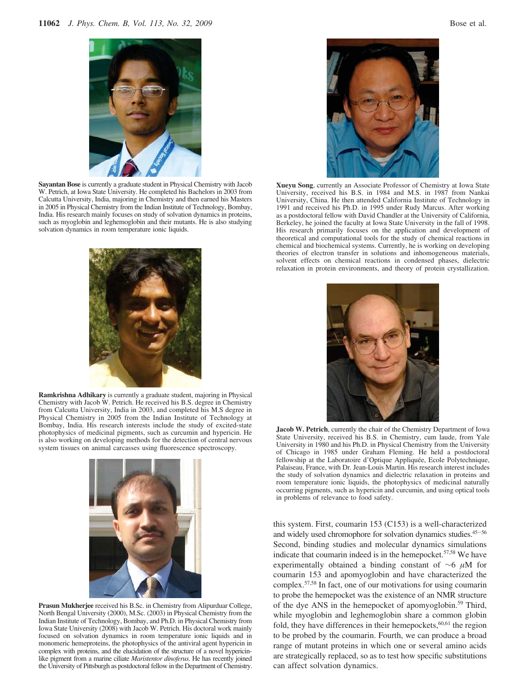

**Sayantan Bose** is currently a graduate student in Physical Chemistry with Jacob W. Petrich, at Iowa State University. He completed his Bachelors in 2003 from Calcutta University, India, majoring in Chemistry and then earned his Masters in 2005 in Physical Chemistry from the Indian Institute of Technology, Bombay, India. His research mainly focuses on study of solvation dynamics in proteins, such as myoglobin and leghemoglobin and their mutants. He is also studying solvation dynamics in room temperature ionic liquids.



**Ramkrishna Adhikary** is currently a graduate student, majoring in Physical Chemistry with Jacob W. Petrich. He received his B.S. degree in Chemistry from Calcutta University, India in 2003, and completed his M.S degree in Physical Chemistry in 2005 from the Indian Institute of Technology at Bombay, India. His research interests include the study of excited-state photophysics of medicinal pigments, such as curcumin and hypericin. He is also working on developing methods for the detection of central nervous system tissues on animal carcasses using fluorescence spectroscopy.



**Prasun Mukherjee** received his B.Sc. in Chemistry from Alipurduar College, North Bengal University (2000), M.Sc. (2003) in Physical Chemistry from the Indian Institute of Technology, Bombay, and Ph.D. in Physical Chemistry from Iowa State University (2008) with Jacob W. Petrich. His doctoral work mainly focused on solvation dynamics in room temperature ionic liquids and in monomeric hemeproteins, the photophysics of the antiviral agent hypericin in complex with proteins, and the elucidation of the structure of a novel hypericinlike pigment from a marine ciliate *Maristentor dinoferus*. He has recently joined the University of Pittsburgh as postdoctoral fellow in the Department of Chemistry.



**Xueyu Song**, currently an Associate Professor of Chemistry at Iowa State University, received his B.S. in 1984 and M.S. in 1987 from Nankai University, China. He then attended California Institute of Technology in 1991 and received his Ph.D. in 1995 under Rudy Marcus. After working as a postdoctoral fellow with David Chandler at the University of California, Berkeley, he joined the faculty at Iowa State University in the fall of 1998. His research primarily focuses on the application and development of theoretical and computational tools for the study of chemical reactions in chemical and biochemical systems. Currently, he is working on developing theories of electron transfer in solutions and inhomogeneous materials, solvent effects on chemical reactions in condensed phases, dielectric relaxation in protein environments, and theory of protein crystallization.



**Jacob W. Petrich**, currently the chair of the Chemistry Department of Iowa State University, received his B.S. in Chemistry, cum laude, from Yale University in 1980 and his Ph.D. in Physical Chemistry from the University of Chicago in 1985 under Graham Fleming. He held a postdoctoral fellowship at the Laboratoire d'Optique Appliquée, Ecole Polytechnique, Palaiseau, France, with Dr. Jean-Louis Martin. His research interest includes the study of solvation dynamics and dielectric relaxation in proteins and room temperature ionic liquids, the photophysics of medicinal naturally occurring pigments, such as hypericin and curcumin, and using optical tools in problems of relevance to food safety.

this system. First, coumarin 153 (C153) is a well-characterized and widely used chromophore for solvation dynamics studies.<sup>45-56</sup> Second, binding studies and molecular dynamics simulations indicate that coumarin indeed is in the hemepocket.<sup>57,58</sup> We have experimentally obtained a binding constant of ∼6 µM for coumarin 153 and apomyoglobin and have characterized the complex.57,58 In fact, one of our motivations for using coumarin to probe the hemepocket was the existence of an NMR structure of the dye ANS in the hemepocket of apomyoglobin.<sup>59</sup> Third, while myoglobin and leghemoglobin share a common globin fold, they have differences in their hemepockets,  $60,61$  the region to be probed by the coumarin. Fourth, we can produce a broad range of mutant proteins in which one or several amino acids are strategically replaced, so as to test how specific substitutions can affect solvation dynamics.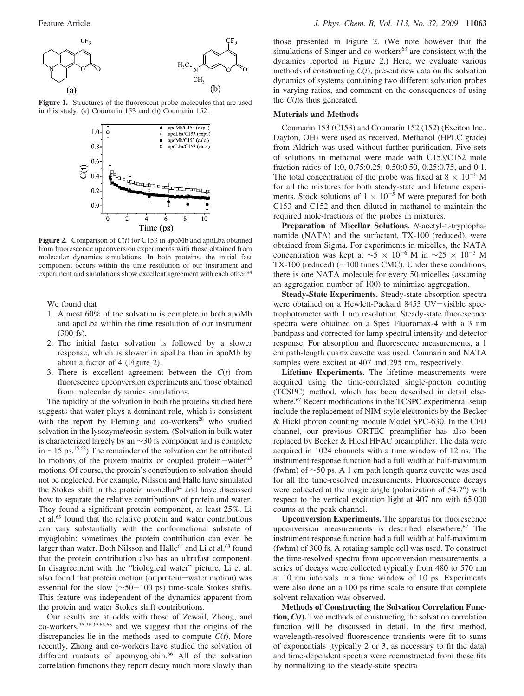

**Figure 1.** Structures of the fluorescent probe molecules that are used in this study. (a) Coumarin 153 and (b) Coumarin 152.



**Figure 2.** Comparison of *C*(*t*) for C153 in apoMb and apoLba obtained from fluorescence upconversion experiments with those obtained from molecular dynamics simulations. In both proteins, the initial fast component occurs within the time resolution of our instrument and experiment and simulations show excellent agreement with each other.<sup>44</sup>

We found that

- 1. Almost 60% of the solvation is complete in both apoMb and apoLba within the time resolution of our instrument (300 fs).
- 2. The initial faster solvation is followed by a slower response, which is slower in apoLba than in apoMb by about a factor of 4 (Figure 2).
- 3. There is excellent agreement between the *C*(*t*) from fluorescence upconversion experiments and those obtained from molecular dynamics simulations.

The rapidity of the solvation in both the proteins studied here suggests that water plays a dominant role, which is consistent with the report by Fleming and co-workers<sup>28</sup> who studied solvation in the lysozyme/eosin system. (Solvation in bulk water is characterized largely by an ∼30 fs component and is complete in ∼15 ps.<sup>15,62</sup>) The remainder of the solvation can be attributed to motions of the protein matrix or coupled protein-water $63$ motions. Of course, the protein's contribution to solvation should not be neglected. For example, Nilsson and Halle have simulated the Stokes shift in the protein monellin<sup>64</sup> and have discussed how to separate the relative contributions of protein and water. They found a significant protein component, at least 25%. Li et al.<sup>63</sup> found that the relative protein and water contributions can vary substantially with the conformational substate of myoglobin: sometimes the protein contribution can even be larger than water. Both Nilsson and Halle<sup>64</sup> and Li et al.<sup>63</sup> found that the protein contribution also has an ultrafast component. In disagreement with the "biological water" picture, Li et al. also found that protein motion (or protein-water motion) was essential for the slow (∼50-100 ps) time-scale Stokes shifts. This feature was independent of the dynamics apparent from the protein and water Stokes shift contributions.

Our results are at odds with those of Zewail, Zhong, and co-workers,35,38,39,65,66 and we suggest that the origins of the discrepancies lie in the methods used to compute *C*(*t*). More recently, Zhong and co-workers have studied the solvation of different mutants of apomyoglobin.<sup>66</sup> All of the solvation correlation functions they report decay much more slowly than those presented in Figure 2. (We note however that the simulations of Singer and co-workers<sup>63</sup> are consistent with the dynamics reported in Figure 2.) Here, we evaluate various methods of constructing *C*(*t*), present new data on the solvation dynamics of systems containing two different solvation probes in varying ratios, and comment on the consequences of using the *C*(*t*)s thus generated.

#### **Materials and Methods**

Coumarin 153 (C153) and Coumarin 152 (152) (Exciton Inc., Dayton, OH) were used as received. Methanol (HPLC grade) from Aldrich was used without further purification. Five sets of solutions in methanol were made with C153/C152 mole fraction ratios of 1:0, 0.75:0.25, 0.50:0.50, 0.25:0.75, and 0:1. The total concentration of the probe was fixed at  $8 \times 10^{-6}$  M for all the mixtures for both steady-state and lifetime experiments. Stock solutions of  $1 \times 10^{-5}$  M were prepared for both C153 and C152 and then diluted in methanol to maintain the required mole-fractions of the probes in mixtures.

**Preparation of Micellar Solutions.** *N*-acetyl-L-tryptophanamide (NATA) and the surfactant, TX-100 (reduced), were obtained from Sigma. For experiments in micelles, the NATA concentration was kept at  $\sim$ 5 × 10<sup>-6</sup> M in  $\sim$ 25 × 10<sup>-3</sup> M TX-100 (reduced) (∼100 times CMC). Under these conditions, there is one NATA molecule for every 50 micelles (assuming an aggregation number of 100) to minimize aggregation.

**Steady-State Experiments.** Steady-state absorption spectra were obtained on a Hewlett-Packard 8453 UV-visible spectrophotometer with 1 nm resolution. Steady-state fluorescence spectra were obtained on a Spex Fluoromax-4 with a 3 nm bandpass and corrected for lamp spectral intensity and detector response. For absorption and fluorescence measurements, a 1 cm path-length quartz cuvette was used. Coumarin and NATA samples were excited at 407 and 295 nm, respectively.

**Lifetime Experiments.** The lifetime measurements were acquired using the time-correlated single-photon counting (TCSPC) method, which has been described in detail elsewhere.<sup>67</sup> Recent modifications in the TCSPC experimental setup include the replacement of NIM-style electronics by the Becker & Hickl photon counting module Model SPC-630. In the CFD channel, our previous ORTEC preamplifier has also been replaced by Becker & Hickl HFAC preamplifier. The data were acquired in 1024 channels with a time window of 12 ns. The instrument response function had a full width at half-maximum (fwhm) of ∼50 ps. A 1 cm path length quartz cuvette was used for all the time-resolved measurements. Fluorescence decays were collected at the magic angle (polarization of 54.7°) with respect to the vertical excitation light at 407 nm with 65 000 counts at the peak channel.

**Upconversion Experiments.** The apparatus for fluorescence upconversion measurements is described elsewhere.<sup>67</sup> The instrument response function had a full width at half-maximum (fwhm) of 300 fs. A rotating sample cell was used. To construct the time-resolved spectra from upconversion measurements, a series of decays were collected typically from 480 to 570 nm at 10 nm intervals in a time window of 10 ps. Experiments were also done on a 100 ps time scale to ensure that complete solvent relaxation was observed.

**Methods of Constructing the Solvation Correlation Function,** *C***(***t***).** Two methods of constructing the solvation correlation function will be discussed in detail. In the first method, wavelength-resolved fluorescence transients were fit to sums of exponentials (typically 2 or 3, as necessary to fit the data) and time-dependent spectra were reconstructed from these fits by normalizing to the steady-state spectra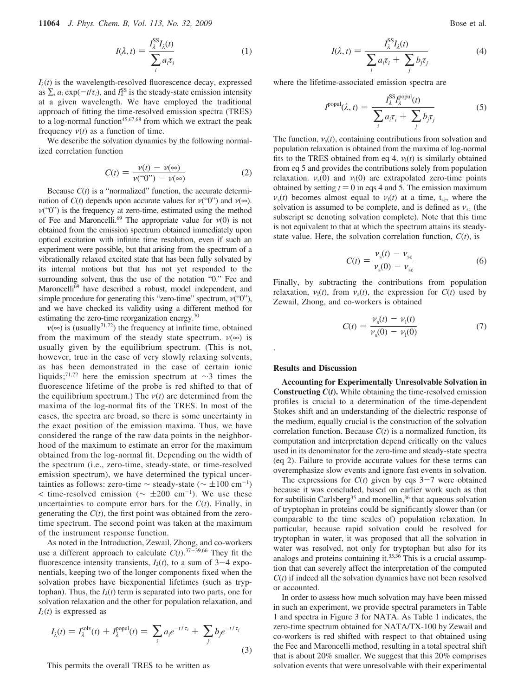**11064** *J. Phys. Chem. B, Vol. 113, No. 32, 2009* Bose et al.

$$
I(\lambda, t) = \frac{I_{\lambda}^{SS} I_{\lambda}(t)}{\sum_{i} a_{i} \tau_{i}}
$$
 (1)

 $I_{\lambda}(t)$  is the wavelength-resolved fluorescence decay, expressed as  $\sum_i a_i \exp(-t/\tau_i)$ , and  $I_\lambda^{SS}$  is the steady-state emission intensity at a given wavelength. We have employed the traditional approach of fitting the time-resolved emission spectra (TRES) to a log-normal function<sup>45,67,68</sup> from which we extract the peak frequency  $v(t)$  as a function of time.

We describe the solvation dynamics by the following normalized correlation function

$$
C(t) = \frac{\nu(t) - \nu(\infty)}{\nu(\mathbf{t}^0)^{\prime} - \nu(\infty)}
$$
 (2)

Because *C*(*t*) is a "normalized" function, the accurate determination of  $C(t)$  depends upon accurate values for  $v("0")$  and  $v(\infty)$ .  $v("0")$  is the frequency at zero-time, estimated using the method of Fee and Maroncelli.<sup>69</sup> The appropriate value for  $v(0)$  is not obtained from the emission spectrum obtained immediately upon optical excitation with infinite time resolution, even if such an experiment were possible, but that arising from the spectrum of a vibrationally relaxed excited state that has been fully solvated by its internal motions but that has not yet responded to the surrounding solvent, thus the use of the notation "0." Fee and Maroncelli<sup>69</sup> have described a robust, model independent, and simple procedure for generating this "zero-time" spectrum,  $v("0")$ , and we have checked its validity using a different method for estimating the zero-time reorganization energy.<sup>70</sup>

 $v(\infty)$  is (usually<sup>71,72</sup>) the frequency at infinite time, obtained from the maximum of the steady state spectrum.  $\nu(\infty)$  is usually given by the equilibrium spectrum. (This is not, however, true in the case of very slowly relaxing solvents, as has been demonstrated in the case of certain ionic liquids;<sup>71,72</sup> here the emission spectrum at ∼3 times the fluorescence lifetime of the probe is red shifted to that of the equilibrium spectrum.) The  $v(t)$  are determined from the maxima of the log-normal fits of the TRES. In most of the cases, the spectra are broad, so there is some uncertainty in the exact position of the emission maxima. Thus, we have considered the range of the raw data points in the neighborhood of the maximum to estimate an error for the maximum obtained from the log-normal fit. Depending on the width of the spectrum (i.e., zero-time, steady-state, or time-resolved emission spectrum), we have determined the typical uncertainties as follows: zero-time  $\sim$  steady-state ( $\sim \pm 100 \text{ cm}^{-1}$ )  $\lt$  time-resolved emission ( $\sim \pm 200$  cm<sup>-1</sup>). We use these uncertainties to compute error bars for the  $C(t)$ . Finally, in generating the  $C(t)$ , the first point was obtained from the zerotime spectrum. The second point was taken at the maximum of the instrument response function.

As noted in the Introduction, Zewail, Zhong, and co-workers use a different approach to calculate  $C(t)$ .<sup>37-39,66</sup> They fit the fluorescence intensity transients,  $I_{\lambda}(t)$ , to a sum of 3-4 exponentials, keeping two of the longer components fixed when the solvation probes have biexponential lifetimes (such as tryptophan). Thus, the  $I_{\lambda}(t)$  term is separated into two parts, one for solvation relaxation and the other for population relaxation, and  $I_{\lambda}(t)$  is expressed as

$$
I_{\lambda}(t) = I_{\lambda}^{\text{solv}}(t) + I_{\lambda}^{\text{popul}}(t) = \sum_{i} a_{i} e^{-t/\tau_{i}} + \sum_{j} b_{j} e^{-t/\tau_{j}}
$$
\n(3)

This permits the overall TRES to be written as

$$
I(\lambda, t) = \frac{I_{\lambda}^{SS} I_{\lambda}(t)}{\sum_{i} a_{i} \tau_{i} + \sum_{j} b_{j} \tau_{j}}
$$
(4)

SS*I*

where the lifetime-associated emission spectra are

$$
I^{\text{popul}}(\lambda, t) = \frac{I_{\lambda}^{\text{SS}} I_{\lambda}^{\text{popul}}(t)}{\sum_{i} a_{i} \tau_{i} + \sum_{j} b_{j} \tau_{j}}
$$
(5)

The function,  $v_s(t)$ , containing contributions from solvation and population relaxation is obtained from the maxima of log-normal fits to the TRES obtained from eq 4.  $v_1(t)$  is similarly obtained from eq 5 and provides the contributions solely from population relaxation.  $v_s(0)$  and  $v_l(0)$  are extrapolated zero-time points obtained by setting  $t = 0$  in eqs 4 and 5. The emission maximum  $v<sub>s</sub>(t)$  becomes almost equal to  $v<sub>1</sub>(t)$  at a time, t<sub>sc</sub>, where the solvation is assumed to be complete, and is defined as  $v_{\rm sc}$  (the subscript sc denoting solvation complete). Note that this time is not equivalent to that at which the spectrum attains its steadystate value. Here, the solvation correlation function,  $C(t)$ , is

$$
C(t) = \frac{\nu_{\rm s}(t) - \nu_{\rm sc}}{\nu_{\rm s}(0) - \nu_{\rm sc}}
$$
 (6)

Finally, by subtracting the contributions from population relaxation,  $v_1(t)$ , from  $v_s(t)$ , the expression for  $C(t)$  used by Zewail, Zhong, and co-workers is obtained

$$
C(t) = \frac{\nu_s(t) - \nu_l(t)}{\nu_s(0) - \nu_l(0)}
$$
(7)

#### **Results and Discussion**

.

**Accounting for Experimentally Unresolvable Solvation in Constructing**  $C(t)$ . While obtaining the time-resolved emission profiles is crucial to a determination of the time-dependent Stokes shift and an understanding of the dielectric response of the medium, equally crucial is the construction of the solvation correlation function. Because  $C(t)$  is a normalized function, its computation and interpretation depend critically on the values used in its denominator for the zero-time and steady-state spectra (eq 2). Failure to provide accurate values for these terms can overemphasize slow events and ignore fast events in solvation.

The expressions for  $C(t)$  given by eqs  $3-7$  were obtained because it was concluded, based on earlier work such as that for subtilisin Carlsberg<sup>35</sup> and monellin,<sup>36</sup> that aqueous solvation of tryptophan in proteins could be significantly slower than (or comparable to the time scales of) population relaxation. In particular, because rapid solvation could be resolved for tryptophan in water, it was proposed that all the solvation in water was resolved, not only for tryptophan but also for its analogs and proteins containing it.<sup>35,36</sup> This is a crucial assumption that can severely affect the interpretation of the computed  $C(t)$  if indeed all the solvation dynamics have not been resolved or accounted.

In order to assess how much solvation may have been missed in such an experiment, we provide spectral parameters in Table 1 and spectra in Figure 3 for NATA. As Table 1 indicates, the zero-time spectrum obtained for NATA/TX-100 by Zewail and co-workers is red shifted with respect to that obtained using the Fee and Maroncelli method, resulting in a total spectral shift that is about 20% smaller. We suggest that this 20% comprises solvation events that were unresolvable with their experimental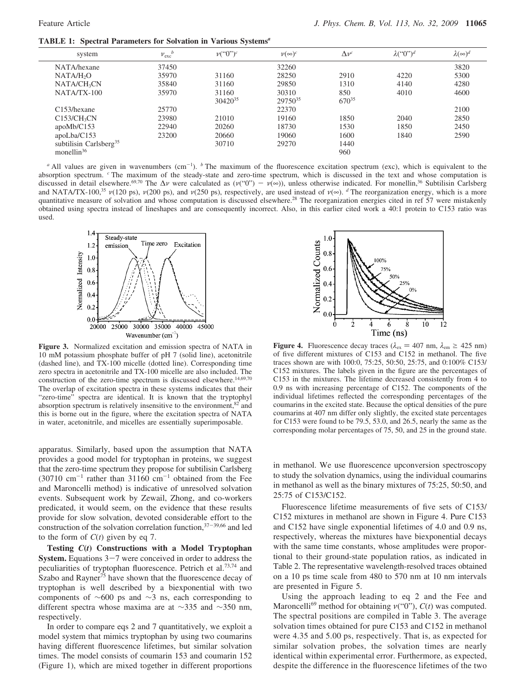**TABLE 1: Spectral Parameters for Solvation in Various Systems***<sup>a</sup>*

| system                             | $v_{\rm exc}^{l}$ | $v({}^\alpha 0")^c$          | $\nu(\infty)^c$              | $\Delta v^c$             | $\lambda$ <sup>("</sup> 0") <sup>d</sup> | $\lambda(\infty)^d$ |
|------------------------------------|-------------------|------------------------------|------------------------------|--------------------------|------------------------------------------|---------------------|
| NATA/hexane                        | 37450             |                              | 32260                        |                          |                                          | 3820                |
| NATA/H <sub>2</sub> O              | 35970             | 31160                        | 28250                        | 2910                     | 4220                                     | 5300                |
| NATA/CH <sub>3</sub> CN            | 35840             | 31160                        | 29850                        | 1310                     | 4140                                     | 4280                |
| $NATA/TX-100$                      | 35970             | 31160<br>30420 <sup>35</sup> | 30310<br>29750 <sup>35</sup> | 850<br>670 <sup>35</sup> | 4010                                     | 4600                |
| C <sub>153</sub> /hexane           | 25770             |                              | 22370                        |                          |                                          | 2100                |
| $C153/CH_3CN$                      | 23980             | 21010                        | 19160                        | 1850                     | 2040                                     | 2850                |
| apoMb/C153                         | 22940             | 20260                        | 18730                        | 1530                     | 1850                                     | 2450                |
| apoLba/C153                        | 23200             | 20660                        | 19060                        | 1600                     | 1840                                     | 2590                |
| subtilisin Carlsberg <sup>35</sup> |                   | 30710                        | 29270                        | 1440                     |                                          |                     |
| monellin <sup>36</sup>             |                   |                              |                              | 960                      |                                          |                     |

*a* All values are given in wavenumbers (cm<sup>-1</sup>). *b* The maximum of the fluorescence excitation spectrum (exc), which is equivalent to the absorption spectrum. *<sup>c</sup>* The maximum of the steady-state and zero-time spectrum, which is discussed in the text and whose computation is discussed in detail elsewhere.<sup>69,70</sup> The  $\Delta v$  were calculated as ( $v("0") - v(\infty)$ ), unless otherwise indicated. For monellin,<sup>36</sup> Subtilisin Carlsberg and NATA/TX-100,<sup>35</sup>  $v(120 \text{ ps})$ ,  $v(200 \text{ ps})$ , and  $v(250 \text{ ps})$ , respectively, are used instead of  $v(\infty)$ . *d* The reorganization energy, which is a more quantitative measure of solvation and whose computation is discussed elsewhere.<sup>28</sup> The reorganization energies cited in ref 57 were mistakenly obtained using spectra instead of lineshapes and are consequently incorrect. Also, in this earlier cited work a 40:1 protein to C153 ratio was used.



**Figure 3.** Normalized excitation and emission spectra of NATA in 10 mM potassium phosphate buffer of pH 7 (solid line), acetonitrile (dashed line), and TX-100 micelle (dotted line). Corresponding time zero spectra in acetonitrile and TX-100 micelle are also included. The construction of the zero-time spectrum is discussed elsewhere.<sup>14,69,70</sup> The overlap of excitation spectra in these systems indicates that their "zero-time" spectra are identical. It is known that the tryptophyl absorption spectrum is relatively insensitive to the environment,<sup>82</sup> and this is borne out in the figure, where the excitation spectra of NATA in water, acetonitrile, and micelles are essentially superimposable.

apparatus. Similarly, based upon the assumption that NATA provides a good model for tryptophan in proteins, we suggest that the zero-time spectrum they propose for subtilisin Carlsberg  $(30710 \text{ cm}^{-1} \text{ rather than } 31160 \text{ cm}^{-1} \text{ obtained from the Fee})$ and Maroncelli method) is indicative of unresolved solvation events. Subsequent work by Zewail, Zhong, and co-workers predicated, it would seem, on the evidence that these results provide for slow solvation, devoted considerable effort to the construction of the solvation correlation function,<sup>37</sup>-39,66 and led to the form of  $C(t)$  given by eq 7.

**Testing** *C***(***t***) Constructions with a Model Tryptophan System.** Equations  $3-7$  were conceived in order to address the peculiarities of tryptophan fluorescence. Petrich et al.73,74 and Szabo and Rayner<sup>75</sup> have shown that the fluorescence decay of tryptophan is well described by a biexponential with two components of ∼600 ps and ∼3 ns, each corresponding to different spectra whose maxima are at ∼335 and ∼350 nm, respectively.

In order to compare eqs 2 and 7 quantitatively, we exploit a model system that mimics tryptophan by using two coumarins having different fluorescence lifetimes, but similar solvation times. The model consists of coumarin 153 and coumarin 152 (Figure 1), which are mixed together in different proportions



**Figure 4.** Fluorescence decay traces ( $\lambda_{\text{ex}} = 407$  nm,  $\lambda_{\text{em}} \ge 425$  nm) of five different mixtures of C153 and C152 in methanol. The five traces shown are with 100:0, 75:25, 50:50, 25:75, and 0:100% C153/ C152 mixtures. The labels given in the figure are the percentages of C153 in the mixtures. The lifetime decreased consistently from 4 to 0.9 ns with increasing percentage of C152. The components of the individual lifetimes reflected the corresponding percentages of the coumarins in the excited state. Because the optical densities of the pure coumarins at 407 nm differ only slightly, the excited state percentages for C153 were found to be 79.5, 53.0, and 26.5, nearly the same as the corresponding molar percentages of 75, 50, and 25 in the ground state.

in methanol. We use fluorescence upconversion spectroscopy to study the solvation dynamics, using the individual coumarins in methanol as well as the binary mixtures of 75:25, 50:50, and 25:75 of C153/C152.

Fluorescence lifetime measurements of five sets of C153/ C152 mixtures in methanol are shown in Figure 4. Pure C153 and C152 have single exponential lifetimes of 4.0 and 0.9 ns, respectively, whereas the mixtures have biexponential decays with the same time constants, whose amplitudes were proportional to their ground-state population ratios, as indicated in Table 2. The representative wavelength-resolved traces obtained on a 10 ps time scale from 480 to 570 nm at 10 nm intervals are presented in Figure 5.

Using the approach leading to eq 2 and the Fee and Maroncelli<sup>69</sup> method for obtaining  $v("0")$ ,  $C(t)$  was computed. The spectral positions are compiled in Table 3. The average solvation times obtained for pure C153 and C152 in methanol were 4.35 and 5.00 ps, respectively. That is, as expected for similar solvation probes, the solvation times are nearly identical within experimental error. Furthermore, as expected, despite the difference in the fluorescence lifetimes of the two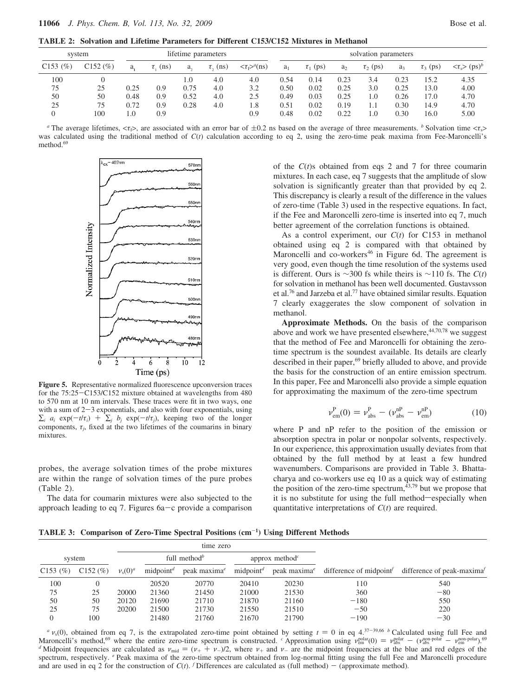**TABLE 2: Solvation and Lifetime Parameters for Different C153/C152 Mixtures in Methanol**

| system     |             | lifetime parameters |                     |      |                     | solvation parameters            |       |               |       |               |                |               |                                            |
|------------|-------------|---------------------|---------------------|------|---------------------|---------------------------------|-------|---------------|-------|---------------|----------------|---------------|--------------------------------------------|
| $C153$ (%) | $C152 (\%)$ | a.                  | $\tau_{\rm c}$ (ns) | a.   | $\tau_{\rm s}$ (ns) | $\langle \tau_f \rangle^a$ (ns) | $a_1$ | $\tau_1$ (ps) | $a_2$ | $\tau_2$ (ps) | a <sub>3</sub> | $\tau_3$ (ps) | $\langle \tau_s \rangle$ (ps) <sup>b</sup> |
| 100        |             |                     |                     | 1.0  | 4.0                 | 4.0                             | 0.54  | 0.14          | 0.23  | 3.4           | 0.23           | l 5.2         | 4.35                                       |
| 75         | 25          | 0.25                | 0.9                 | 0.75 | 4.0                 | 3.2                             | 0.50  | 0.02          | 0.25  | 3.0           | 0.25           | 13.0          | 4.00                                       |
| 50         | 50          | 0.48                | 0.9                 | 0.52 | 4.0                 | 2.5                             | 0.49  | 0.03          | 0.25  | 1.0           | 0.26           | 17.0          | 4.70                                       |
| 25         | 75          | 0.72                | 0.9                 | 0.28 | 4.0                 | 1.8                             | 0.51  | 0.02          | 0.19  |               | 0.30           | 14.9          | 4.70                                       |
|            | 100         | 1.0                 | 0.9                 |      |                     | 0.9                             | 0.48  | 0.02          | 0.22  | 1.0           | 0.30           | 16.0          | 5.00                                       |

*a* The average lifetimes,  $\langle \tau_i \rangle$ , are associated with an error bar of  $\pm 0.2$  ns based on the average of three measurements. *b* Solvation time  $\langle \tau_i \rangle$ was calculated using the traditional method of  $C(t)$  calculation according to eq 2, using the zero-time peak maxima from Fee-Maroncelli's method.<sup>69</sup>



**Figure 5.** Representative normalized fluorescence upconversion traces for the 75:25-C153/C152 mixture obtained at wavelengths from 480 to 570 nm at 10 nm intervals. These traces were fit in two ways, one with a sum of  $2-3$  exponentials, and also with four exponentials, using  $\sum_i a_i \exp(-t/\tau_i) + \sum_j b_j \exp(-t/\tau_j)$ , keeping two of the longer components,  $\tau_j$ , fixed at the two lifetimes of the coumarins in binary mixtures.

probes, the average solvation times of the probe mixtures are within the range of solvation times of the pure probes (Table 2).

The data for coumarin mixtures were also subjected to the approach leading to eq 7. Figures  $6a-c$  provide a comparison of the *C*(*t*)s obtained from eqs 2 and 7 for three coumarin mixtures. In each case, eq 7 suggests that the amplitude of slow solvation is significantly greater than that provided by eq 2. This discrepancy is clearly a result of the difference in the values of zero-time (Table 3) used in the respective equations. In fact, if the Fee and Maroncelli zero-time is inserted into eq 7, much better agreement of the correlation functions is obtained.

As a control experiment, our *C*(*t*) for C153 in methanol obtained using eq 2 is compared with that obtained by Maroncelli and co-workers<sup>46</sup> in Figure 6d. The agreement is very good, even though the time resolution of the systems used is different. Ours is ∼300 fs while theirs is ∼110 fs. The *C*(*t*) for solvation in methanol has been well documented. Gustavsson et al.<sup>76</sup> and Jarzeba et al.<sup>77</sup> have obtained similar results. Equation 7 clearly exaggerates the slow component of solvation in methanol.

**Approximate Methods.** On the basis of the comparison above and work we have presented elsewhere,<sup>44,70,78</sup> we suggest that the method of Fee and Maroncelli for obtaining the zerotime spectrum is the soundest available. Its details are clearly described in their paper,<sup>69</sup> briefly alluded to above, and provide the basis for the construction of an entire emission spectrum. In this paper, Fee and Maroncelli also provide a simple equation for approximating the maximum of the zero-time spectrum

$$
\nu_{em}^{P}(0) = \nu_{abs}^{P} - (\nu_{abs}^{nP} - \nu_{em}^{nP})
$$
 (10)

where P and nP refer to the position of the emission or absorption spectra in polar or nonpolar solvents, respectively. In our experience, this approximation usually deviates from that obtained by the full method by at least a few hundred wavenumbers. Comparisons are provided in Table 3. Bhattacharya and co-workers use eq 10 as a quick way of estimating the position of the zero-time spectrum, $43,79$  but we propose that it is no substitute for using the full method-especially when quantitative interpretations of *C*(*t*) are required.

**TABLE 3: Comparison of Zero-Time Spectral Positions (cm**-**<sup>1</sup> ) Using Different Methods**

|         |             |            |                          | time zero       |                       |                                         |                        |                           |
|---------|-------------|------------|--------------------------|-----------------|-----------------------|-----------------------------------------|------------------------|---------------------------|
| system  |             |            | full method <sup>b</sup> |                 |                       | approx method <sup><math>c</math></sup> |                        |                           |
| C153(%) | $C152 (\%)$ | $v_s(0)^a$ | midpoint <sup>d</sup>    | peak maxima $e$ | midpoint <sup>d</sup> | peak maxima <sup>e</sup>                | difference of midpoint | difference of peak-maxima |
| 100     |             |            | 20520                    | 20770           | 20410                 | 20230                                   | 110                    | 540                       |
| 75      | 25          | 20000      | 21360                    | 21450           | 21000                 | 21530                                   | 360                    | $-80$                     |
| 50      | 50          | 20120      | 21690                    | 21710           | 21870                 | 21160                                   | $-180$                 | 550                       |
| 25      | 75          | 20200      | 21500                    | 21730           | 21550                 | 21510                                   | $-50$                  | 220                       |
|         | 100         |            | 21480                    | 21760           | 21670                 | 21790                                   | $-190$                 | $-30$                     |

 $a$  v<sub>s</sub>(0), obtained from eq 7, is the extrapolated zero-time point obtained by setting  $t = 0$  in eq 4.<sup>37-39,66</sup> *b* Calculated using full Fee and Maroncelli's method,<sup>69</sup> where the entire zero-time spectrum is constructed. <sup>*c*</sup> Approximation using  $\nu_{em}^{\text{polar}}(0) = \nu_{abs}^{\text{polar}} - (\nu_{abs}^{\text{non-polar}} - \nu_{em}^{\text{non-polar}})^{.69}$ *d* Midpoint frequencies are calculated as  $v_{mid} = (v_{+} + v_{-})/2$ , where  $v_{+}$  and  $v_{-}$  are the midpoint frequencies at the blue and red edges of the spectrum, respectively. *<sup>e</sup>* Peak maxima of the zero-time spectrum obtained from log-normal fitting using the full Fee and Maroncelli procedure and are used in eq 2 for the construction of  $C(t)$ . *f* Differences are calculated as (full method) - (approximate method).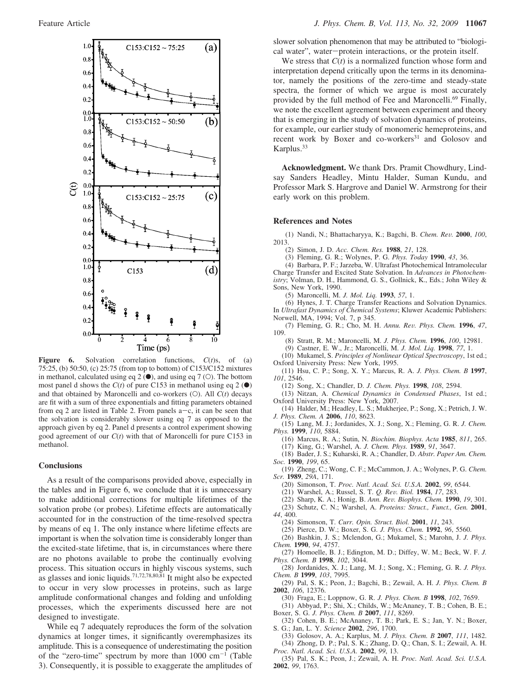

**Figure 6.** Solvation correlation functions, *C*(*t*)s, of (a) 75:25, (b) 50:50, (c) 25:75 (from top to bottom) of C153/C152 mixtures in methanol, calculated using eq 2  $\bullet$ ), and using eq 7  $\circ$ . The bottom most panel d shows the  $C(t)$  of pure C153 in methanol using eq 2 ( $\bullet$ ) and that obtained by Maroncelli and co-workers (O). All *C*(*t*) decays are fit with a sum of three exponentials and fitting parameters obtained from eq 2 are listed in Table 2. From panels  $a-c$ , it can be seen that the solvation is considerably slower using eq 7 as opposed to the approach given by eq 2. Panel d presents a control experiment showing good agreement of our *C*(*t*) with that of Maroncelli for pure C153 in methanol.

#### **Conclusions**

As a result of the comparisons provided above, especially in the tables and in Figure 6, we conclude that it is unnecessary to make additional corrections for multiple lifetimes of the solvation probe (or probes). Lifetime effects are automatically accounted for in the construction of the time-resolved spectra by means of eq 1. The only instance where lifetime effects are important is when the solvation time is considerably longer than the excited-state lifetime, that is, in circumstances where there are no photons available to probe the continually evolving process. This situation occurs in highly viscous systems, such as glasses and ionic liquids.<sup>71,72,78,80,81</sup> It might also be expected to occur in very slow processes in proteins, such as large amplitude conformational changes and folding and unfolding processes, which the experiments discussed here are not designed to investigate.

While eq 7 adequately reproduces the form of the solvation dynamics at longer times, it significantly overemphasizes its amplitude. This is a consequence of underestimating the position of the "zero-time" spectrum by more than  $1000 \text{ cm}^{-1}$  (Table 3). Consequently, it is possible to exaggerate the amplitudes of slower solvation phenomenon that may be attributed to "biological water", water-protein interactions, or the protein itself.

We stress that *C*(*t*) is a normalized function whose form and interpretation depend critically upon the terms in its denominator, namely the positions of the zero-time and steady-state spectra, the former of which we argue is most accurately provided by the full method of Fee and Maroncelli.<sup>69</sup> Finally, we note the excellent agreement between experiment and theory that is emerging in the study of solvation dynamics of proteins, for example, our earlier study of monomeric hemeproteins, and recent work by Boxer and co-workers<sup>31</sup> and Golosov and Karplus.<sup>33</sup>

**Acknowledgment.** We thank Drs. Pramit Chowdhury, Lindsay Sanders Headley, Mintu Halder, Suman Kundu, and Professor Mark S. Hargrove and Daniel W. Armstrong for their early work on this problem.

#### **References and Notes**

(1) Nandi, N.; Bhattacharyya, K.; Bagchi, B. *Chem. Re*V*.* **2000**, *100*, 2013.

- (2) Simon, J. D. *Acc. Chem. Res.* **1988**, *21*, 128.
- (3) Fleming, G. R.; Wolynes, P. G. *Phys. Today* **1990**, *43*, 36.

(4) Barbara, P. F.; Jarzeba, W. Ultrafast Photochemical Intramolecular Charge Transfer and Excited State Solvation. In *Ad*V*ances in Photochemistry*; Volman, D. H., Hammond, G. S., Gollnick, K., Eds.; John Wiley & Sons, New York, 1990.

(5) Maroncelli, M. *J. Mol. Liq.* **1993**, *57*, 1.

(6) Hynes, J. T. Charge Transfer Reactions and Solvation Dynamics. In *Ultrafast Dynamics of Chemical Systems*; Kluwer Academic Publishers: Norwell, MA, 1994; Vol. 7, p 345.

- (7) Fleming, G. R.; Cho, M. H. *Annu. Re*V*. Phys. Chem.* **1996**, *47*, 109.
	- (8) Stratt, R. M.; Maroncelli, M. *J. Phys. Chem.* **1996**, *100*, 12981.
	- (9) Castner, E. W., Jr.; Maroncelli, M. *J. Mol. Liq.* **1998**, *77*, 1.
	- (10) Mukamel, S. *Principles of Nonlinear Optical Spectroscopy*, 1st ed.;
- Oxford University Press: New York, 1995. (11) Hsu, C. P.; Song, X. Y.; Marcus, R. A. *J. Phys. Chem. B* **1997**,
- *101*, 2546.
	- (12) Song, X.; Chandler, D. *J. Chem. Phys.* **1998**, *108*, 2594.
- (13) Nitzan, A. *Chemical Dynamics in Condensed Phases*, 1st ed.; Oxford University Press: New York, 2007.
- (14) Halder, M.; Headley, L. S.; Mukherjee, P.; Song, X.; Petrich, J. W. *J. Phys. Chem. A* **2006**, *110*, 8623.
- (15) Lang, M. J.; Jordanides, X. J.; Song, X.; Fleming, G. R. *J. Chem. Phys.* **1999**, *110*, 5884.
- (16) Marcus, R. A.; Sutin, N. *Biochim. Biophys. Acta* **1985**, *811*, 265. (17) King, G.; Warshel, A. *J. Chem. Phys.* **1989**, *91*, 3647.
- (18) Bader, J. S.; Kuharski, R. A.; Chandler, D. *Abstr. Paper Am. Chem. Soc.* **1990**, *199*, 65.
- (19) Zheng, C.; Wong, C. F.; McCammon, J. A.; Wolynes, P. G. *Chem. Scr.* **1989**, *29A*, 171.
	- (20) Simonson, T. *Proc. Natl. Acad. Sci. U.S.A.* **2002**, *99*, 6544.
	- (21) Warshel, A.; Russel, S. T. *Q. Re*V*. Biol.* **1984**, *17*, 283.
	- (22) Sharp, K. A.; Honig, B. *Ann. Re*V*. Biophys. Chem.* **1990**, *19*, 301. (23) Schutz, C. N.; Warshel, A. *Proteins: Struct., Funct., Gen.* **2001**,
		-
- *44*, 400. (24) Simonson, T. *Curr. Opin. Struct. Biol.* **2001**, *11*, 243.
	- (25) Pierce, D. W.; Boxer, S. G. *J. Phys. Chem.* **1992**, *96*, 5560.
- (26) Bashkin, J. S.; Mclendon, G.; Mukamel, S.; Marohn, J. *J. Phys. Chem.* **1990**, *94*, 4757.
- (27) Homoelle, B. J.; Edington, M. D.; Diffey, W. M.; Beck, W. F. *J. Phys. Chem. B* **1998**, *102*, 3044.
- (28) Jordanides, X. J.; Lang, M. J.; Song, X.; Fleming, G. R. *J. Phys. Chem. B* **1999**, *103*, 7995.
- (29) Pal, S. K.; Peon, J.; Bagchi, B.; Zewail, A. H. *J. Phys. Chem. B* **2002**, *106*, 12376.
	- (30) Fraga, E.; Loppnow, G. R. *J. Phys. Chem. B* **1998**, *102*, 7659.
- (31) Abbyad, P.; Shi, X.; Childs, W.; McAnaney, T. B.; Cohen, B. E.; Boxer, S. G. *J. Phys. Chem. B* **2007**, *111*, 8269.
- (32) Cohen, B. E.; McAnaney, T. B.; Park, E. S.; Jan, Y. N.; Boxer, S. G.; Jan, L. Y. *Science* **2002**, *296*, 1700.
- (33) Golosov, A. A.; Karplus, M. *J. Phys. Chem. B* **2007**, *111*, 1482. (34) Zhong, D. P.; Pal, S. K.; Zhang, D. Q.; Chan, S. I.; Zewail, A. H. *Proc. Natl. Acad. Sci. U.S.A.* **2002**, *99*, 13.
- (35) Pal, S. K.; Peon, J.; Zewail, A. H. *Proc. Natl. Acad. Sci. U.S.A.* **2002**, *99*, 1763.